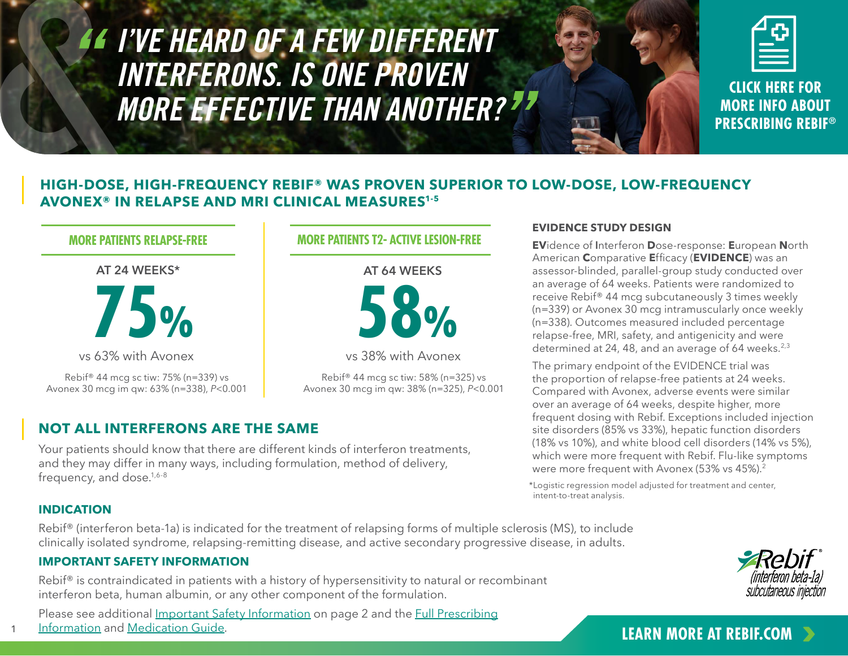# <span id="page-0-0"></span>*I'VE HEARD OF A FEW DIFFERENT INTERFERONS. IS ONE PROVEN MORE EFFECTIVE THAN ANOTHER?*

**CLICK HERE FOR MORE INFO ABOUT [PRESCRIBING REBIF®](https://www.rebif.com/hcp/home/resources/prescribing-support.html)**

## **HIGH-DOSE, HIGH-FREQUENCY REBIF® WAS PROVEN SUPERIOR TO LOW-DOSE, LOW-FREQUENCY AVONEX® IN RELAPSE AND MRI CLINICAL MEASURES1-5**

## **MORE PATIENTS RELAPSE-FREE**

### **AT 24 WEEKS\***



vs 63% with Avonex

Rebif® 44 mcg sc tiw: 75% (n=339) vs Avonex 30 mcg im qw: 63% (n=338), *P*<0.001

## **MORE PATIENTS T2- ACTIVE LESION-FREE**

# **AT 64 WEEKS 58%**

vs 38% with Avonex

Rebif® 44 mcg sc tiw: 58% (n=325) vs Avonex 30 mcg im qw: 38% (n=325), *P*<0.001

# **NOT ALL INTERFERONS ARE THE SAME**

Your patients should know that there are different kinds of interferon treatments, and they may differ in many ways, including formulation, method of delivery, frequency, and dose.<sup>1,6-8</sup>

#### **EVIDENCE STUDY DESIGN**

**EV**idence of **I**nterferon **D**ose-response: **E**uropean **N**orth American **C**omparative **E**fficacy (**EVIDENCE**) was an assessor-blinded, parallel-group study conducted over an average of 64 weeks. Patients were randomized to receive Rebif® 44 mcg subcutaneously 3 times weekly (n=339) or Avonex 30 mcg intramuscularly once weekly (n=338). Outcomes measured included percentage relapse-free, MRI, safety, and antigenicity and were determined at 24, 48, and an average of 64 weeks.<sup>2,3</sup>

The primary endpoint of the EVIDENCE trial was the proportion of relapse-free patients at 24 weeks. Compared with Avonex, adverse events were similar over an average of 64 weeks, despite higher, more frequent dosing with Rebif. Exceptions included injection site disorders (85% vs 33%), hepatic function disorders (18% vs 10%), and white blood cell disorders (14% vs 5%), which were more frequent with Rebif. Flu-like symptoms were more frequent with Avonex (53% vs 45%).<sup>2</sup>

\*Logistic regression model adjusted for treatment and center, intent-to-treat analysis.

## **INDICATION**

1

Rebif® (interferon beta-1a) is indicated for the treatment of relapsing forms of multiple sclerosis (MS), to include clinically isolated syndrome, relapsing-remitting disease, and active secondary progressive disease, in adults.

## **IMPORTANT SAFETY INFORMATION**

Rebif<sup>®</sup> is contraindicated in patients with a history of hypersensitivity to natural or recombinant interferon beta, human albumin, or any other component of the formulation.

Please see additional [Important Safety Information](#page-1-0) on page 2 and the [Full Prescribing](https://www.emdserono.com/us-en/pi/rebif-pi.pdf) [Information](https://www.emdserono.com/us-en/pi/rebif-pi.pdf) and [Medication Guide.](https://www.emdserono.com/us-en/pi/rebif-medguide.pdf) 



# **[LEARN MORE AT REBIF.COM](https://www.rebif.com/hcp/home/efficacy/Rebif-vs-Avonex.html)**